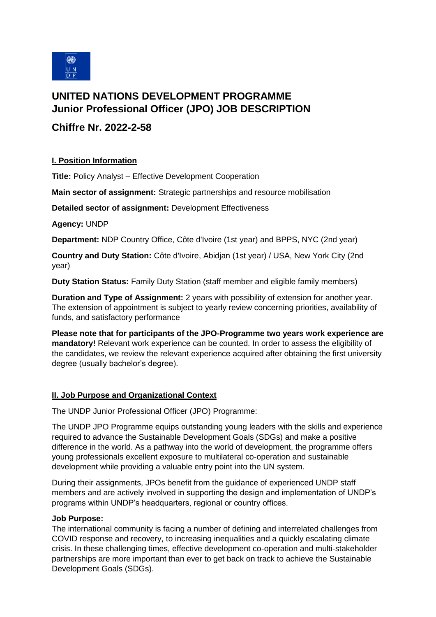

# **UNITED NATIONS DEVELOPMENT PROGRAMME Junior Professional Officer (JPO) JOB DESCRIPTION**

## **Chiffre Nr. 2022-2-58**

### **I. Position Information**

**Title:** Policy Analyst – Effective Development Cooperation

**Main sector of assignment:** Strategic partnerships and resource mobilisation

**Detailed sector of assignment:** Development Effectiveness

### **Agency:** UNDP

**Department:** NDP Country Office, Côte d'Ivoire (1st year) and BPPS, NYC (2nd year)

**Country and Duty Station:** Côte d'Ivoire, Abidjan (1st year) / USA, New York City (2nd year)

**Duty Station Status:** Family Duty Station (staff member and eligible family members)

**Duration and Type of Assignment:** 2 years with possibility of extension for another year. The extension of appointment is subject to yearly review concerning priorities, availability of funds, and satisfactory performance

**Please note that for participants of the JPO-Programme two years work experience are mandatory!** Relevant work experience can be counted. In order to assess the eligibility of the candidates, we review the relevant experience acquired after obtaining the first university degree (usually bachelor's degree).

## **II. Job Purpose and Organizational Context**

The UNDP Junior Professional Officer (JPO) Programme:

The UNDP JPO Programme equips outstanding young leaders with the skills and experience required to advance the Sustainable Development Goals (SDGs) and make a positive difference in the world. As a pathway into the world of development, the programme offers young professionals excellent exposure to multilateral co-operation and sustainable development while providing a valuable entry point into the UN system.

During their assignments, JPOs benefit from the guidance of experienced UNDP staff members and are actively involved in supporting the design and implementation of UNDP's programs within UNDP's headquarters, regional or country offices.

#### **Job Purpose:**

The international community is facing a number of defining and interrelated challenges from COVID response and recovery, to increasing inequalities and a quickly escalating climate crisis. In these challenging times, effective development co-operation and multi-stakeholder partnerships are more important than ever to get back on track to achieve the Sustainable Development Goals (SDGs).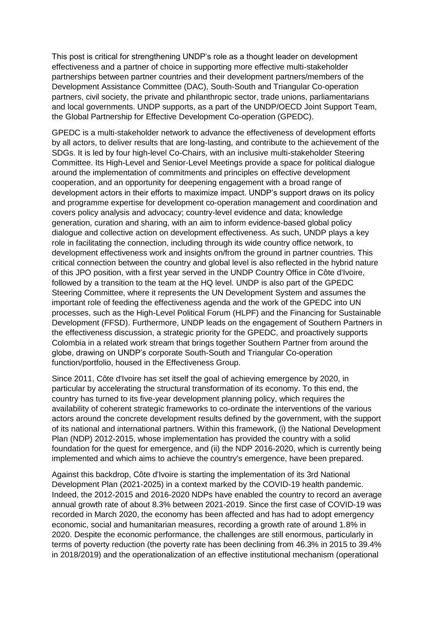This post is critical for strengthening UNDP's role as a thought leader on development effectiveness and a partner of choice in supporting more effective multi-stakeholder partnerships between partner countries and their development partners/members of the Development Assistance Committee (DAC), South-South and Triangular Co-operation partners, civil society, the private and philanthropic sector, trade unions, parliamentarians and local governments. UNDP supports, as a part of the UNDP/OECD Joint Support Team, the Global Partnership for Effective Development Co-operation (GPEDC).

GPEDC is a multi-stakeholder network to advance the effectiveness of development efforts by all actors, to deliver results that are long-lasting, and contribute to the achievement of the SDGs. It is led by four high-level Co-Chairs, with an inclusive multi-stakeholder Steering Committee. Its High-Level and Senior-Level Meetings provide a space for political dialogue around the implementation of commitments and principles on effective development cooperation, and an opportunity for deepening engagement with a broad range of development actors in their efforts to maximize impact. UNDP's support draws on its policy and programme expertise for development co-operation management and coordination and covers policy analysis and advocacy; country-level evidence and data; knowledge generation, curation and sharing, with an aim to inform evidence-based global policy dialogue and collective action on development effectiveness. As such, UNDP plays a key role in facilitating the connection, including through its wide country office network, to development effectiveness work and insights on/from the ground in partner countries. This critical connection between the country and global level is also reflected in the hybrid nature of this JPO position, with a first year served in the UNDP Country Office in Côte d'Ivoire, followed by a transition to the team at the HQ level. UNDP is also part of the GPEDC Steering Committee, where it represents the UN Development System and assumes the important role of feeding the effectiveness agenda and the work of the GPEDC into UN processes, such as the High-Level Political Forum (HLPF) and the Financing for Sustainable Development (FFSD). Furthermore, UNDP leads on the engagement of Southern Partners in the effectiveness discussion, a strategic priority for the GPEDC, and proactively supports Colombia in a related work stream that brings together Southern Partner from around the globe, drawing on UNDP's corporate South-South and Triangular Co-operation function/portfolio, housed in the Effectiveness Group.

Since 2011, Côte d'Ivoire has set itself the goal of achieving emergence by 2020, in particular by accelerating the structural transformation of its economy. To this end, the country has turned to its five-year development planning policy, which requires the availability of coherent strategic frameworks to co-ordinate the interventions of the various actors around the concrete development results defined by the government, with the support of its national and international partners. Within this framework, (i) the National Development Plan (NDP) 2012-2015, whose implementation has provided the country with a solid foundation for the quest for emergence, and (ii) the NDP 2016-2020, which is currently being implemented and which aims to achieve the country's emergence, have been prepared.

Against this backdrop, Côte d'Ivoire is starting the implementation of its 3rd National Development Plan (2021-2025) in a context marked by the COVID-19 health pandemic. Indeed, the 2012-2015 and 2016-2020 NDPs have enabled the country to record an average annual growth rate of about 8.3% between 2021-2019. Since the first case of COVID-19 was recorded in March 2020, the economy has been affected and has had to adopt emergency economic, social and humanitarian measures, recording a growth rate of around 1.8% in 2020. Despite the economic performance, the challenges are still enormous, particularly in terms of poverty reduction (the poverty rate has been declining from 46.3% in 2015 to 39.4% in 2018/2019) and the operationalization of an effective institutional mechanism (operational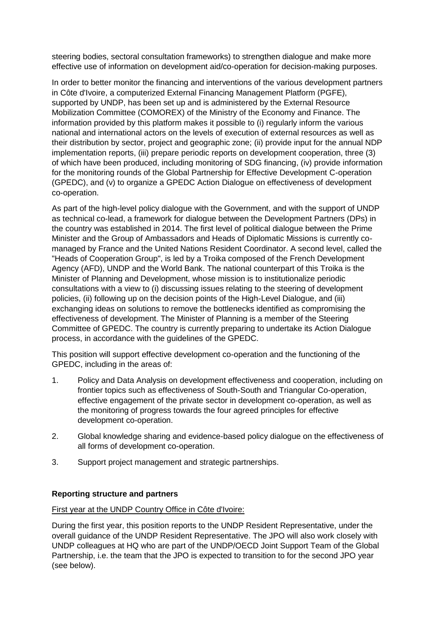steering bodies, sectoral consultation frameworks) to strengthen dialogue and make more effective use of information on development aid/co-operation for decision-making purposes.

In order to better monitor the financing and interventions of the various development partners in Côte d'Ivoire, a computerized External Financing Management Platform (PGFE), supported by UNDP, has been set up and is administered by the External Resource Mobilization Committee (COMOREX) of the Ministry of the Economy and Finance. The information provided by this platform makes it possible to (i) regularly inform the various national and international actors on the levels of execution of external resources as well as their distribution by sector, project and geographic zone; (ii) provide input for the annual NDP implementation reports, (iii) prepare periodic reports on development cooperation, three (3) of which have been produced, including monitoring of SDG financing, (iv) provide information for the monitoring rounds of the Global Partnership for Effective Development C-operation (GPEDC), and (v) to organize a GPEDC Action Dialogue on effectiveness of development co-operation.

As part of the high-level policy dialogue with the Government, and with the support of UNDP as technical co-lead, a framework for dialogue between the Development Partners (DPs) in the country was established in 2014. The first level of political dialogue between the Prime Minister and the Group of Ambassadors and Heads of Diplomatic Missions is currently comanaged by France and the United Nations Resident Coordinator. A second level, called the "Heads of Cooperation Group", is led by a Troika composed of the French Development Agency (AFD), UNDP and the World Bank. The national counterpart of this Troika is the Minister of Planning and Development, whose mission is to institutionalize periodic consultations with a view to (i) discussing issues relating to the steering of development policies, (ii) following up on the decision points of the High-Level Dialogue, and (iii) exchanging ideas on solutions to remove the bottlenecks identified as compromising the effectiveness of development. The Minister of Planning is a member of the Steering Committee of GPEDC. The country is currently preparing to undertake its Action Dialogue process, in accordance with the guidelines of the GPEDC.

This position will support effective development co-operation and the functioning of the GPEDC, including in the areas of:

- 1. Policy and Data Analysis on development effectiveness and cooperation, including on frontier topics such as effectiveness of South-South and Triangular Co-operation, effective engagement of the private sector in development co-operation, as well as the monitoring of progress towards the four agreed principles for effective development co-operation.
- 2. Global knowledge sharing and evidence-based policy dialogue on the effectiveness of all forms of development co-operation.
- 3. Support project management and strategic partnerships.

#### **Reporting structure and partners**

#### First year at the UNDP Country Office in Côte d'Ivoire:

During the first year, this position reports to the UNDP Resident Representative, under the overall guidance of the UNDP Resident Representative. The JPO will also work closely with UNDP colleagues at HQ who are part of the UNDP/OECD Joint Support Team of the Global Partnership, i.e. the team that the JPO is expected to transition to for the second JPO year (see below).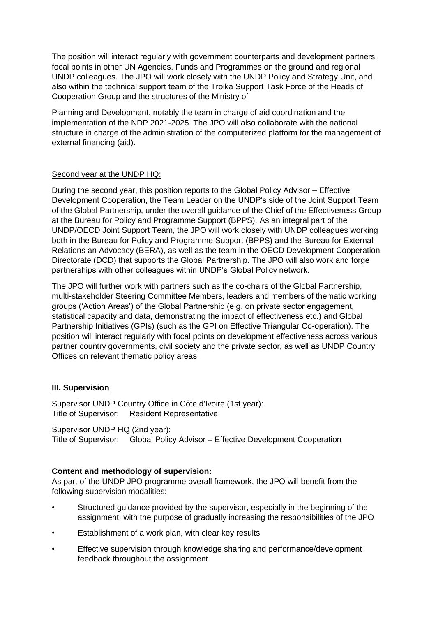The position will interact regularly with government counterparts and development partners, focal points in other UN Agencies, Funds and Programmes on the ground and regional UNDP colleagues. The JPO will work closely with the UNDP Policy and Strategy Unit, and also within the technical support team of the Troika Support Task Force of the Heads of Cooperation Group and the structures of the Ministry of

Planning and Development, notably the team in charge of aid coordination and the implementation of the NDP 2021-2025. The JPO will also collaborate with the national structure in charge of the administration of the computerized platform for the management of external financing (aid).

### Second year at the UNDP HQ:

During the second year, this position reports to the Global Policy Advisor – Effective Development Cooperation, the Team Leader on the UNDP's side of the Joint Support Team of the Global Partnership, under the overall guidance of the Chief of the Effectiveness Group at the Bureau for Policy and Programme Support (BPPS). As an integral part of the UNDP/OECD Joint Support Team, the JPO will work closely with UNDP colleagues working both in the Bureau for Policy and Programme Support (BPPS) and the Bureau for External Relations an Advocacy (BERA), as well as the team in the OECD Development Cooperation Directorate (DCD) that supports the Global Partnership. The JPO will also work and forge partnerships with other colleagues within UNDP's Global Policy network.

The JPO will further work with partners such as the co-chairs of the Global Partnership, multi-stakeholder Steering Committee Members, leaders and members of thematic working groups ('Action Areas') of the Global Partnership (e.g. on private sector engagement, statistical capacity and data, demonstrating the impact of effectiveness etc.) and Global Partnership Initiatives (GPIs) (such as the GPI on Effective Triangular Co-operation). The position will interact regularly with focal points on development effectiveness across various partner country governments, civil society and the private sector, as well as UNDP Country Offices on relevant thematic policy areas.

## **III. Supervision**

Supervisor UNDP Country Office in Côte d'Ivoire (1st year): Title of Supervisor: Resident Representative

Supervisor UNDP HQ (2nd year): Title of Supervisor: Global Policy Advisor – Effective Development Cooperation

## **Content and methodology of supervision:**

As part of the UNDP JPO programme overall framework, the JPO will benefit from the following supervision modalities:

- Structured guidance provided by the supervisor, especially in the beginning of the assignment, with the purpose of gradually increasing the responsibilities of the JPO
- Establishment of a work plan, with clear key results
- Effective supervision through knowledge sharing and performance/development feedback throughout the assignment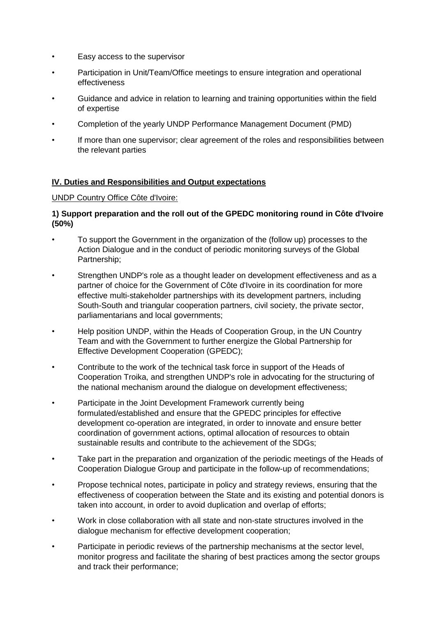- Easy access to the supervisor
- Participation in Unit/Team/Office meetings to ensure integration and operational effectiveness
- Guidance and advice in relation to learning and training opportunities within the field of expertise
- Completion of the yearly UNDP Performance Management Document (PMD)
- If more than one supervisor; clear agreement of the roles and responsibilities between the relevant parties

### **IV. Duties and Responsibilities and Output expectations**

#### UNDP Country Office Côte d'Ivoire:

### **1) Support preparation and the roll out of the GPEDC monitoring round in Côte d'Ivoire (50%)**

- To support the Government in the organization of the (follow up) processes to the Action Dialogue and in the conduct of periodic monitoring surveys of the Global Partnership;
- Strengthen UNDP's role as a thought leader on development effectiveness and as a partner of choice for the Government of Côte d'Ivoire in its coordination for more effective multi-stakeholder partnerships with its development partners, including South-South and triangular cooperation partners, civil society, the private sector, parliamentarians and local governments;
- Help position UNDP, within the Heads of Cooperation Group, in the UN Country Team and with the Government to further energize the Global Partnership for Effective Development Cooperation (GPEDC);
- Contribute to the work of the technical task force in support of the Heads of Cooperation Troika, and strengthen UNDP's role in advocating for the structuring of the national mechanism around the dialogue on development effectiveness;
- Participate in the Joint Development Framework currently being formulated/established and ensure that the GPEDC principles for effective development co-operation are integrated, in order to innovate and ensure better coordination of government actions, optimal allocation of resources to obtain sustainable results and contribute to the achievement of the SDGs;
- Take part in the preparation and organization of the periodic meetings of the Heads of Cooperation Dialogue Group and participate in the follow-up of recommendations;
- Propose technical notes, participate in policy and strategy reviews, ensuring that the effectiveness of cooperation between the State and its existing and potential donors is taken into account, in order to avoid duplication and overlap of efforts;
- Work in close collaboration with all state and non-state structures involved in the dialogue mechanism for effective development cooperation;
- Participate in periodic reviews of the partnership mechanisms at the sector level, monitor progress and facilitate the sharing of best practices among the sector groups and track their performance;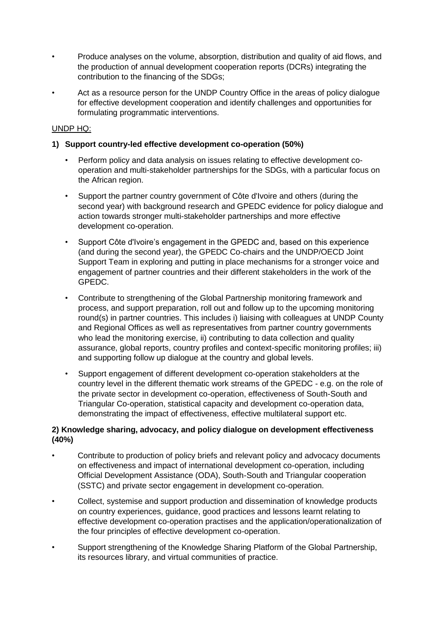- Produce analyses on the volume, absorption, distribution and quality of aid flows, and the production of annual development cooperation reports (DCRs) integrating the contribution to the financing of the SDGs;
- Act as a resource person for the UNDP Country Office in the areas of policy dialogue for effective development cooperation and identify challenges and opportunities for formulating programmatic interventions.

### UNDP HQ:

## **1) Support country-led effective development co-operation (50%)**

- Perform policy and data analysis on issues relating to effective development cooperation and multi-stakeholder partnerships for the SDGs, with a particular focus on the African region.
- Support the partner country government of Côte d'Ivoire and others (during the second year) with background research and GPEDC evidence for policy dialogue and action towards stronger multi-stakeholder partnerships and more effective development co-operation.
- Support Côte d'Ivoire's engagement in the GPEDC and, based on this experience (and during the second year), the GPEDC Co-chairs and the UNDP/OECD Joint Support Team in exploring and putting in place mechanisms for a stronger voice and engagement of partner countries and their different stakeholders in the work of the GPEDC.
- Contribute to strengthening of the Global Partnership monitoring framework and process, and support preparation, roll out and follow up to the upcoming monitoring round(s) in partner countries. This includes i) liaising with colleagues at UNDP County and Regional Offices as well as representatives from partner country governments who lead the monitoring exercise, ii) contributing to data collection and quality assurance, global reports, country profiles and context-specific monitoring profiles; iii) and supporting follow up dialogue at the country and global levels.
- Support engagement of different development co-operation stakeholders at the country level in the different thematic work streams of the GPEDC - e.g. on the role of the private sector in development co-operation, effectiveness of South-South and Triangular Co-operation, statistical capacity and development co-operation data, demonstrating the impact of effectiveness, effective multilateral support etc.

## **2) Knowledge sharing, advocacy, and policy dialogue on development effectiveness (40%)**

- Contribute to production of policy briefs and relevant policy and advocacy documents on effectiveness and impact of international development co-operation, including Official Development Assistance (ODA), South-South and Triangular cooperation (SSTC) and private sector engagement in development co-operation.
- Collect, systemise and support production and dissemination of knowledge products on country experiences, guidance, good practices and lessons learnt relating to effective development co-operation practises and the application/operationalization of the four principles of effective development co-operation.
- Support strengthening of the Knowledge Sharing Platform of the Global Partnership, its resources library, and virtual communities of practice.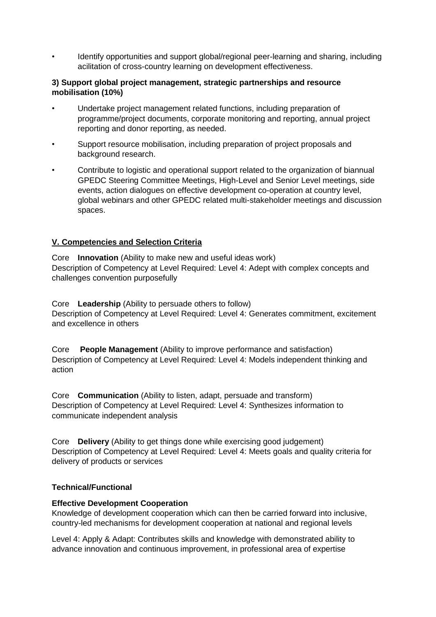• Identify opportunities and support global/regional peer-learning and sharing, including acilitation of cross-country learning on development effectiveness.

#### **3) Support global project management, strategic partnerships and resource mobilisation (10%)**

- Undertake project management related functions, including preparation of programme/project documents, corporate monitoring and reporting, annual project reporting and donor reporting, as needed.
- Support resource mobilisation, including preparation of project proposals and background research.
- Contribute to logistic and operational support related to the organization of biannual GPEDC Steering Committee Meetings, High-Level and Senior Level meetings, side events, action dialogues on effective development co-operation at country level, global webinars and other GPEDC related multi-stakeholder meetings and discussion spaces.

## **V. Competencies and Selection Criteria**

Core **Innovation** (Ability to make new and useful ideas work) Description of Competency at Level Required: Level 4: Adept with complex concepts and challenges convention purposefully

Core **Leadership** (Ability to persuade others to follow) Description of Competency at Level Required: Level 4: Generates commitment, excitement and excellence in others

Core **People Management** (Ability to improve performance and satisfaction) Description of Competency at Level Required: Level 4: Models independent thinking and action

Core **Communication** (Ability to listen, adapt, persuade and transform) Description of Competency at Level Required: Level 4: Synthesizes information to communicate independent analysis

Core **Delivery** (Ability to get things done while exercising good judgement) Description of Competency at Level Required: Level 4: Meets goals and quality criteria for delivery of products or services

## **Technical/Functional**

#### **Effective Development Cooperation**

Knowledge of development cooperation which can then be carried forward into inclusive, country-led mechanisms for development cooperation at national and regional levels

Level 4: Apply & Adapt: Contributes skills and knowledge with demonstrated ability to advance innovation and continuous improvement, in professional area of expertise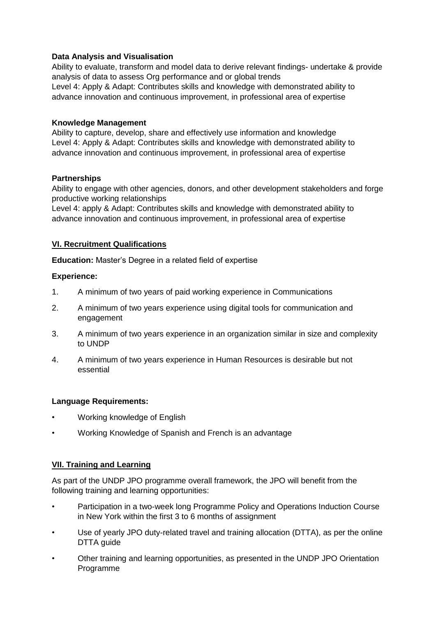## **Data Analysis and Visualisation**

Ability to evaluate, transform and model data to derive relevant findings- undertake & provide analysis of data to assess Org performance and or global trends Level 4: Apply & Adapt: Contributes skills and knowledge with demonstrated ability to advance innovation and continuous improvement, in professional area of expertise

### **Knowledge Management**

Ability to capture, develop, share and effectively use information and knowledge Level 4: Apply & Adapt: Contributes skills and knowledge with demonstrated ability to advance innovation and continuous improvement, in professional area of expertise

### **Partnerships**

Ability to engage with other agencies, donors, and other development stakeholders and forge productive working relationships

Level 4: apply & Adapt: Contributes skills and knowledge with demonstrated ability to advance innovation and continuous improvement, in professional area of expertise

### **VI. Recruitment Qualifications**

**Education:** Master's Degree in a related field of expertise

#### **Experience:**

- 1. A minimum of two years of paid working experience in Communications
- 2. A minimum of two years experience using digital tools for communication and engagement
- 3. A minimum of two years experience in an organization similar in size and complexity to UNDP
- 4. A minimum of two years experience in Human Resources is desirable but not essential

#### **Language Requirements:**

- Working knowledge of English
- Working Knowledge of Spanish and French is an advantage

## **VII. Training and Learning**

As part of the UNDP JPO programme overall framework, the JPO will benefit from the following training and learning opportunities:

- Participation in a two-week long Programme Policy and Operations Induction Course in New York within the first 3 to 6 months of assignment
- Use of yearly JPO duty-related travel and training allocation (DTTA), as per the online DTTA guide
- Other training and learning opportunities, as presented in the UNDP JPO Orientation Programme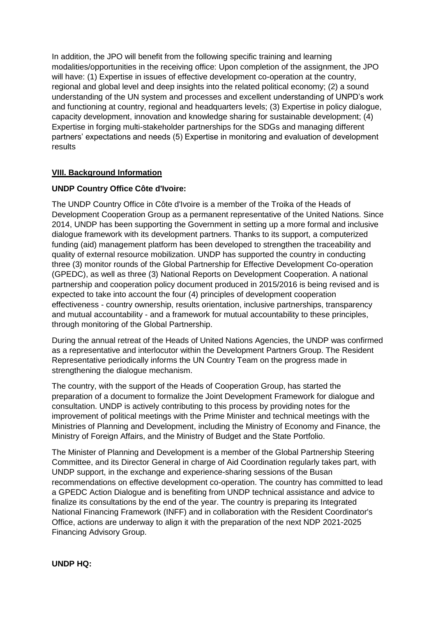In addition, the JPO will benefit from the following specific training and learning modalities/opportunities in the receiving office: Upon completion of the assignment, the JPO will have: (1) Expertise in issues of effective development co-operation at the country, regional and global level and deep insights into the related political economy; (2) a sound understanding of the UN system and processes and excellent understanding of UNPD's work and functioning at country, regional and headquarters levels; (3) Expertise in policy dialogue, capacity development, innovation and knowledge sharing for sustainable development; (4) Expertise in forging multi-stakeholder partnerships for the SDGs and managing different partners' expectations and needs (5) Expertise in monitoring and evaluation of development results

## **VIII. Background Information**

#### **UNDP Country Office Côte d'Ivoire:**

The UNDP Country Office in Côte d'Ivoire is a member of the Troika of the Heads of Development Cooperation Group as a permanent representative of the United Nations. Since 2014, UNDP has been supporting the Government in setting up a more formal and inclusive dialogue framework with its development partners. Thanks to its support, a computerized funding (aid) management platform has been developed to strengthen the traceability and quality of external resource mobilization. UNDP has supported the country in conducting three (3) monitor rounds of the Global Partnership for Effective Development Co-operation (GPEDC), as well as three (3) National Reports on Development Cooperation. A national partnership and cooperation policy document produced in 2015/2016 is being revised and is expected to take into account the four (4) principles of development cooperation effectiveness - country ownership, results orientation, inclusive partnerships, transparency and mutual accountability - and a framework for mutual accountability to these principles, through monitoring of the Global Partnership.

During the annual retreat of the Heads of United Nations Agencies, the UNDP was confirmed as a representative and interlocutor within the Development Partners Group. The Resident Representative periodically informs the UN Country Team on the progress made in strengthening the dialogue mechanism.

The country, with the support of the Heads of Cooperation Group, has started the preparation of a document to formalize the Joint Development Framework for dialogue and consultation. UNDP is actively contributing to this process by providing notes for the improvement of political meetings with the Prime Minister and technical meetings with the Ministries of Planning and Development, including the Ministry of Economy and Finance, the Ministry of Foreign Affairs, and the Ministry of Budget and the State Portfolio.

The Minister of Planning and Development is a member of the Global Partnership Steering Committee, and its Director General in charge of Aid Coordination regularly takes part, with UNDP support, in the exchange and experience-sharing sessions of the Busan recommendations on effective development co-operation. The country has committed to lead a GPEDC Action Dialogue and is benefiting from UNDP technical assistance and advice to finalize its consultations by the end of the year. The country is preparing its Integrated National Financing Framework (INFF) and in collaboration with the Resident Coordinator's Office, actions are underway to align it with the preparation of the next NDP 2021-2025 Financing Advisory Group.

#### **UNDP HQ:**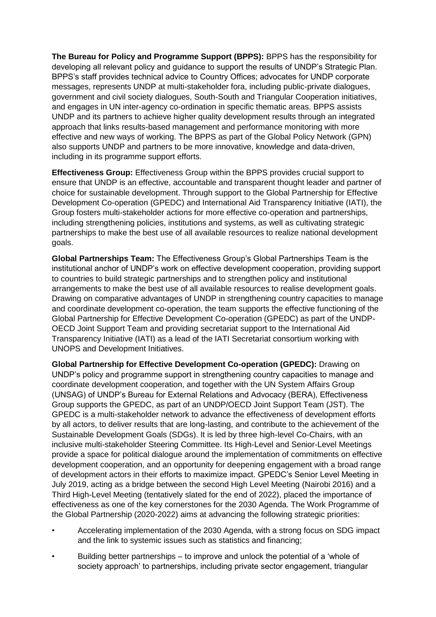**The Bureau for Policy and Programme Support (BPPS):** BPPS has the responsibility for developing all relevant policy and guidance to support the results of UNDP's Strategic Plan. BPPS's staff provides technical advice to Country Offices; advocates for UNDP corporate messages, represents UNDP at multi-stakeholder fora, including public-private dialogues, government and civil society dialogues, South-South and Triangular Cooperation initiatives, and engages in UN inter-agency co-ordination in specific thematic areas. BPPS assists UNDP and its partners to achieve higher quality development results through an integrated approach that links results-based management and performance monitoring with more effective and new ways of working. The BPPS as part of the Global Policy Network (GPN) also supports UNDP and partners to be more innovative, knowledge and data-driven, including in its programme support efforts.

**Effectiveness Group:** Effectiveness Group within the BPPS provides crucial support to ensure that UNDP is an effective, accountable and transparent thought leader and partner of choice for sustainable development. Through support to the Global Partnership for Effective Development Co-operation (GPEDC) and International Aid Transparency Initiative (IATI), the Group fosters multi-stakeholder actions for more effective co-operation and partnerships, including strengthening policies, institutions and systems, as well as cultivating strategic partnerships to make the best use of all available resources to realize national development goals.

**Global Partnerships Team:** The Effectiveness Group's Global Partnerships Team is the institutional anchor of UNDP's work on effective development cooperation, providing support to countries to build strategic partnerships and to strengthen policy and institutional arrangements to make the best use of all available resources to realise development goals. Drawing on comparative advantages of UNDP in strengthening country capacities to manage and coordinate development co-operation, the team supports the effective functioning of the Global Partnership for Effective Development Co-operation (GPEDC) as part of the UNDP-OECD Joint Support Team and providing secretariat support to the International Aid Transparency Initiative (IATI) as a lead of the IATI Secretariat consortium working with UNOPS and Development Initiatives.

**Global Partnership for Effective Development Co-operation (GPEDC):** Drawing on UNDP's policy and programme support in strengthening country capacities to manage and coordinate development cooperation, and together with the UN System Affairs Group (UNSAG) of UNDP's Bureau for External Relations and Advocacy (BERA), Effectiveness Group supports the GPEDC, as part of an UNDP/OECD Joint Support Team (JST). The GPEDC is a multi-stakeholder network to advance the effectiveness of development efforts by all actors, to deliver results that are long-lasting, and contribute to the achievement of the Sustainable Development Goals (SDGs). It is led by three high-level Co-Chairs, with an inclusive multi-stakeholder Steering Committee. Its High-Level and Senior-Level Meetings provide a space for political dialogue around the implementation of commitments on effective development cooperation, and an opportunity for deepening engagement with a broad range of development actors in their efforts to maximize impact. GPEDC's Senior Level Meeting in July 2019, acting as a bridge between the second High Level Meeting (Nairobi 2016) and a Third High-Level Meeting (tentatively slated for the end of 2022), placed the importance of effectiveness as one of the key cornerstones for the 2030 Agenda. The Work Programme of the Global Partnership (2020-2022) aims at advancing the following strategic priorities:

- Accelerating implementation of the 2030 Agenda, with a strong focus on SDG impact and the link to systemic issues such as statistics and financing;
- Building better partnerships to improve and unlock the potential of a 'whole of society approach' to partnerships, including private sector engagement, triangular